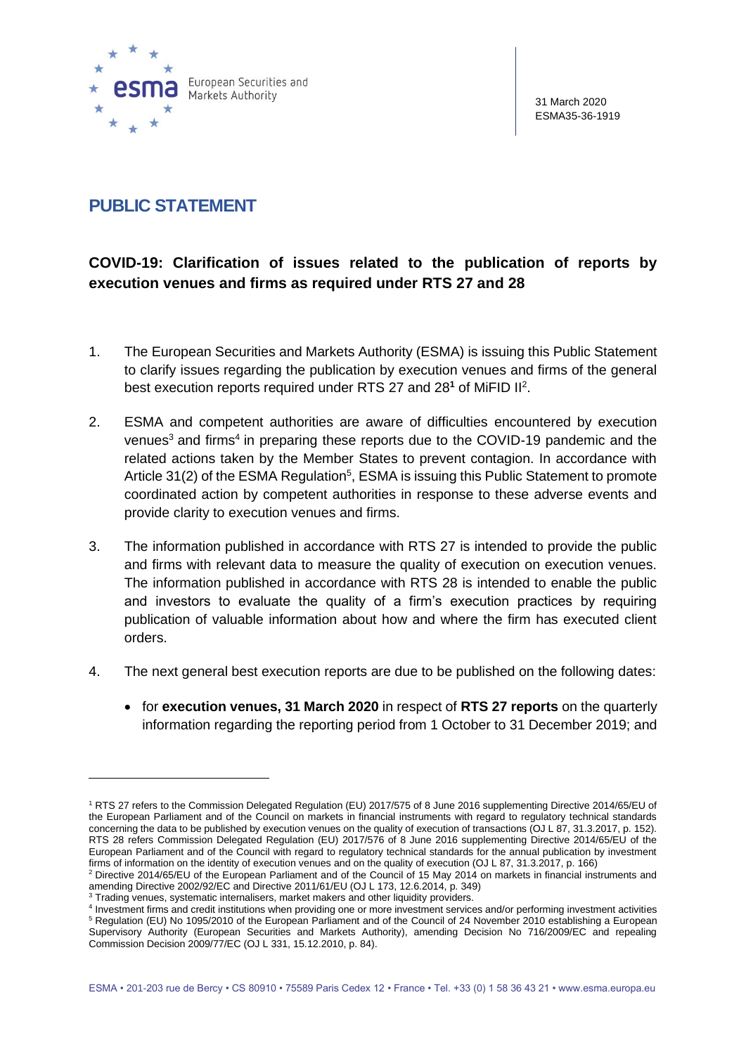

31 March 2020 ESMA35-36-1919

## **PUBLIC STATEMENT**

## **COVID-19: Clarification of issues related to the publication of reports by execution venues and firms as required under RTS 27 and 28**

- 1. The European Securities and Markets Authority (ESMA) is issuing this Public Statement to clarify issues regarding the publication by execution venues and firms of the general best execution reports required under RTS 27 and 28<sup>1</sup> of MiFID II<sup>2</sup>.
- 2. ESMA and competent authorities are aware of difficulties encountered by execution venues<sup>3</sup> and firms<sup>4</sup> in preparing these reports due to the COVID-19 pandemic and the related actions taken by the Member States to prevent contagion. In accordance with Article 31(2) of the ESMA Regulation<sup>5</sup>, ESMA is issuing this Public Statement to promote coordinated action by competent authorities in response to these adverse events and provide clarity to execution venues and firms.
- 3. The information published in accordance with RTS 27 is intended to provide the public and firms with relevant data to measure the quality of execution on execution venues. The information published in accordance with RTS 28 is intended to enable the public and investors to evaluate the quality of a firm's execution practices by requiring publication of valuable information about how and where the firm has executed client orders.
- 4. The next general best execution reports are due to be published on the following dates:
	- for **execution venues, 31 March 2020** in respect of **RTS 27 reports** on the quarterly information regarding the reporting period from 1 October to 31 December 2019; and

<sup>1</sup> RTS 27 refers to the Commission Delegated Regulation (EU) 2017/575 of 8 June 2016 supplementing Directive 2014/65/EU of the European Parliament and of the Council on markets in financial instruments with regard to regulatory technical standards concerning the data to be published by execution venues on the quality of execution of transactions (OJ L 87, 31.3.2017, p. 152). RTS 28 refers Commission Delegated Regulation (EU) 2017/576 of 8 June 2016 supplementing Directive 2014/65/EU of the European Parliament and of the Council with regard to regulatory technical standards for the annual publication by investment firms of information on the identity of execution venues and on the quality of execution (OJ L 87, 31.3.2017, p. 166)

<sup>2</sup> Directive 2014/65/EU of the European Parliament and of the Council of 15 May 2014 on markets in financial instruments and amending Directive 2002/92/EC and Directive 2011/61/EU (OJ L 173, 12.6.2014, p. 349)

<sup>&</sup>lt;sup>3</sup> Trading venues, systematic internalisers, market makers and other liquidity providers.

<sup>4</sup> Investment firms and credit institutions when providing one or more investment services and/or performing investment activities <sup>5</sup> Regulation (EU) No 1095/2010 of the European Parliament and of the Council of 24 November 2010 establishing a European Supervisory Authority (European Securities and Markets Authority), amending Decision No 716/2009/EC and repealing Commission Decision 2009/77/EC (OJ L 331, 15.12.2010, p. 84).